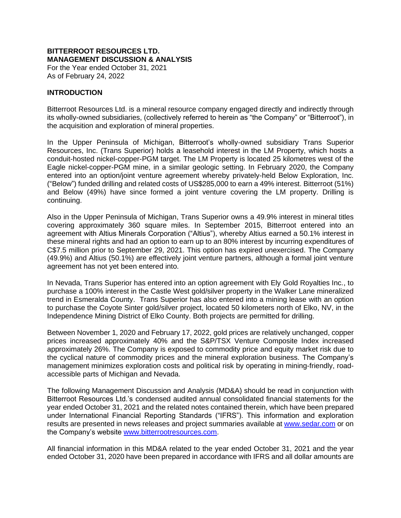## **BITTERROOT RESOURCES LTD. MANAGEMENT DISCUSSION & ANALYSIS**

For the Year ended October 31, 2021 As of February 24, 2022

#### **INTRODUCTION**

Bitterroot Resources Ltd. is a mineral resource company engaged directly and indirectly through its wholly-owned subsidiaries, (collectively referred to herein as "the Company" or "Bitterroot"), in the acquisition and exploration of mineral properties.

In the Upper Peninsula of Michigan, Bitterroot's wholly-owned subsidiary Trans Superior Resources, Inc. (Trans Superior) holds a leasehold interest in the LM Property, which hosts a conduit-hosted nickel-copper-PGM target. The LM Property is located 25 kilometres west of the Eagle nickel-copper-PGM mine, in a similar geologic setting. In February 2020, the Company entered into an option/joint venture agreement whereby privately-held Below Exploration, Inc. ("Below") funded drilling and related costs of US\$285,000 to earn a 49% interest. Bitterroot (51%) and Below (49%) have since formed a joint venture covering the LM property. Drilling is continuing.

Also in the Upper Peninsula of Michigan, Trans Superior owns a 49.9% interest in mineral titles covering approximately 360 square miles. In September 2015, Bitterroot entered into an agreement with Altius Minerals Corporation ("Altius"), whereby Altius earned a 50.1% interest in these mineral rights and had an option to earn up to an 80% interest by incurring expenditures of C\$7.5 million prior to September 29, 2021. This option has expired unexercised. The Company (49.9%) and Altius (50.1%) are effectively joint venture partners, although a formal joint venture agreement has not yet been entered into.

In Nevada, Trans Superior has entered into an option agreement with Ely Gold Royalties Inc., to purchase a 100% interest in the Castle West gold/silver property in the Walker Lane mineralized trend in Esmeralda County. Trans Superior has also entered into a mining lease with an option to purchase the Coyote Sinter gold/silver project, located 50 kilometers north of Elko, NV, in the Independence Mining District of Elko County. Both projects are permitted for drilling.

Between November 1, 2020 and February 17, 2022, gold prices are relatively unchanged, copper prices increased approximately 40% and the S&P/TSX Venture Composite Index increased approximately 26%. The Company is exposed to commodity price and equity market risk due to the cyclical nature of commodity prices and the mineral exploration business. The Company's management minimizes exploration costs and political risk by operating in mining-friendly, roadaccessible parts of Michigan and Nevada.

The following Management Discussion and Analysis (MD&A) should be read in conjunction with Bitterroot Resources Ltd.'s condensed audited annual consolidated financial statements for the year ended October 31, 2021 and the related notes contained therein, which have been prepared under International Financial Reporting Standards ("IFRS"). This information and exploration results are presented in news releases and project summaries available at [www.sedar.com](http://www.sedar.com/) or on the Company's website [www.bitterrootresources.com.](http://www.bitterrootresources.com/)

All financial information in this MD&A related to the year ended October 31, 2021 and the year ended October 31, 2020 have been prepared in accordance with IFRS and all dollar amounts are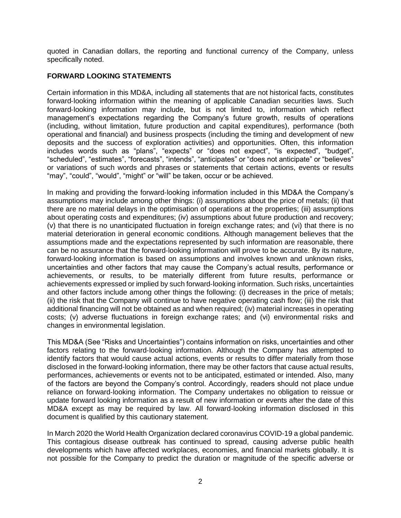quoted in Canadian dollars, the reporting and functional currency of the Company, unless specifically noted.

## **FORWARD LOOKING STATEMENTS**

Certain information in this MD&A, including all statements that are not historical facts, constitutes forward‐looking information within the meaning of applicable Canadian securities laws. Such forward‐looking information may include, but is not limited to, information which reflect management's expectations regarding the Company's future growth, results of operations (including, without limitation, future production and capital expenditures), performance (both operational and financial) and business prospects (including the timing and development of new deposits and the success of exploration activities) and opportunities. Often, this information includes words such as "plans", "expects" or "does not expect", "is expected", "budget", "scheduled", "estimates", "forecasts", "intends", "anticipates" or "does not anticipate" or "believes" or variations of such words and phrases or statements that certain actions, events or results "may", "could", "would", "might" or "will" be taken, occur or be achieved.

In making and providing the forward‐looking information included in this MD&A the Company's assumptions may include among other things: (i) assumptions about the price of metals; (ii) that there are no material delays in the optimisation of operations at the properties; (iii) assumptions about operating costs and expenditures; (iv) assumptions about future production and recovery; (v) that there is no unanticipated fluctuation in foreign exchange rates; and (vi) that there is no material deterioration in general economic conditions. Although management believes that the assumptions made and the expectations represented by such information are reasonable, there can be no assurance that the forward‐looking information will prove to be accurate. By its nature, forward‐looking information is based on assumptions and involves known and unknown risks, uncertainties and other factors that may cause the Company's actual results, performance or achievements, or results, to be materially different from future results, performance or achievements expressed or implied by such forward‐looking information. Such risks, uncertainties and other factors include among other things the following: (i) decreases in the price of metals; (ii) the risk that the Company will continue to have negative operating cash flow; (iii) the risk that additional financing will not be obtained as and when required; (iv) material increases in operating costs; (v) adverse fluctuations in foreign exchange rates; and (vi) environmental risks and changes in environmental legislation.

This MD&A (See "Risks and Uncertainties") contains information on risks, uncertainties and other factors relating to the forward‐looking information. Although the Company has attempted to identify factors that would cause actual actions, events or results to differ materially from those disclosed in the forward‐looking information, there may be other factors that cause actual results, performances, achievements or events not to be anticipated, estimated or intended. Also, many of the factors are beyond the Company's control. Accordingly, readers should not place undue reliance on forward‐looking information. The Company undertakes no obligation to reissue or update forward looking information as a result of new information or events after the date of this MD&A except as may be required by law. All forward‐looking information disclosed in this document is qualified by this cautionary statement.

In March 2020 the World Health Organization declared coronavirus COVID-19 a global pandemic. This contagious disease outbreak has continued to spread, causing adverse public health developments which have affected workplaces, economies, and financial markets globally. It is not possible for the Company to predict the duration or magnitude of the specific adverse or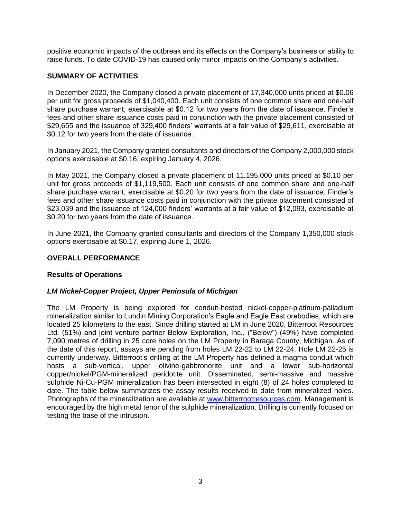positive economic impacts of the outbreak and its effects on the Company's business or ability to raise funds. To date COVID-19 has caused only minor impacts on the Company's activities.

## **SUMMARY OF ACTIVITIES**

In December 2020, the Company closed a private placement of 17,340,000 units priced at \$0.06 per unit for gross proceeds of \$1,040,400. Each unit consists of one common share and one-half share purchase warrant, exercisable at \$0.12 for two years from the date of issuance. Finder's fees and other share issuance costs paid in conjunction with the private placement consisted of \$29,655 and the issuance of 329,400 finders' warrants at a fair value of \$29,611, exercisable at \$0.12 for two years from the date of issuance.

In January 2021, the Company granted consultants and directors of the Company 2,000,000 stock options exercisable at \$0.16, expiring January 4, 2026.

In May 2021, the Company closed a private placement of 11,195,000 units priced at \$0.10 per unit for gross proceeds of \$1,119,500. Each unit consists of one common share and one-half share purchase warrant, exercisable at \$0.20 for two years from the date of issuance. Finder's fees and other share issuance costs paid in conjunction with the private placement consisted of \$23,039 and the issuance of 124,000 finders' warrants at a fair value of \$12,093, exercisable at \$0.20 for two years from the date of issuance.

In June 2021, the Company granted consultants and directors of the Company 1,350,000 stock options exercisable at \$0.17, expiring June 1, 2026.

## **OVERALL PERFORMANCE**

## **Results of Operations**

## *LM Nickel-Copper Project, Upper Peninsula of Michigan*

The LM Property is being explored for conduit-hosted nickel-copper-platinum-palladium mineralization similar to Lundin Mining Corporation's Eagle and Eagle East orebodies, which are located 25 kilometers to the east. Since drilling started at LM in June 2020, Bitterroot Resources Ltd. (51%) and joint venture partner Below Exploration, Inc., ("Below") (49%) have completed 7,090 metres of drilling in 25 core holes on the LM Property in Baraga County, Michigan. As of the date of this report, assays are pending from holes LM 22-22 to LM 22-24. Hole LM 22-25 is currently underway. Bitterroot's drilling at the LM Property has defined a magma conduit which hosts a sub-vertical, upper olivine-gabbronorite unit and a lower sub-horizontal copper/nickel/PGM-mineralized peridotite unit. Disseminated, semi-massive and massive sulphide Ni-Cu-PGM mineralization has been intersected in eight (8) of 24 holes completed to date. The table below summarizes the assay results received to date from mineralized holes. Photographs of the mineralization are available at [www.bitterrootresources.com.](http://www.bitterrootresources.com/) Management is encouraged by the high metal tenor of the sulphide mineralization. Drilling is currently focused on testing the base of the intrusion.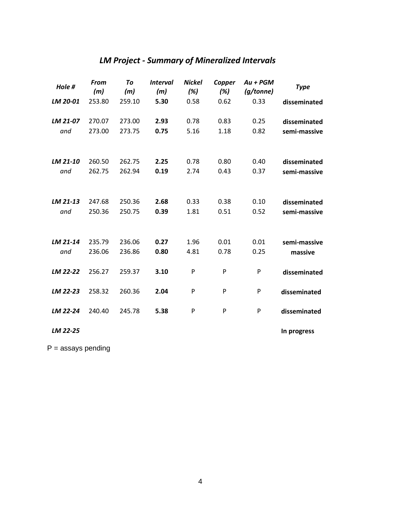# *LM Project - Summary of Mineralized Intervals*

| Hole #   | <b>From</b><br>(m) | To<br>(m) | <i><b>Interval</b></i><br>(m) | <b>Nickel</b><br>(%) | Copper<br>(%) | Au + PGM<br>(g/tonne) | <b>Type</b>  |
|----------|--------------------|-----------|-------------------------------|----------------------|---------------|-----------------------|--------------|
| LM 20-01 | 253.80             | 259.10    | 5.30                          | 0.58                 | 0.62          | 0.33                  | disseminated |
| LM 21-07 | 270.07             | 273.00    | 2.93                          | 0.78                 | 0.83          | 0.25                  | disseminated |
| and      | 273.00             | 273.75    | 0.75                          | 5.16                 | 1.18          | 0.82                  | semi-massive |
|          |                    |           |                               |                      |               |                       |              |
| LM 21-10 | 260.50             | 262.75    | 2.25                          | 0.78                 | 0.80          | 0.40                  | disseminated |
| and      | 262.75             | 262.94    | 0.19                          | 2.74                 | 0.43          | 0.37                  | semi-massive |
|          |                    |           |                               |                      |               |                       |              |
| LM 21-13 | 247.68             | 250.36    | 2.68                          | 0.33                 | 0.38          | 0.10                  | disseminated |
| and      | 250.36             | 250.75    | 0.39                          | 1.81                 | 0.51          | 0.52                  | semi-massive |
|          |                    |           |                               |                      |               |                       |              |
| LM 21-14 | 235.79             | 236.06    | 0.27                          | 1.96                 | 0.01          | 0.01                  | semi-massive |
| and      | 236.06             | 236.86    | 0.80                          | 4.81                 | 0.78          | 0.25                  | massive      |
| LM 22-22 | 256.27             | 259.37    | 3.10                          | P                    | P             | P                     | disseminated |
|          |                    |           |                               |                      |               |                       |              |
| LM 22-23 | 258.32             | 260.36    | 2.04                          | P                    | P             | P                     | disseminated |
| LM 22-24 | 240.40             | 245.78    | 5.38                          | P                    | P             | P                     | disseminated |
| LM 22-25 |                    |           |                               |                      |               |                       | In progress  |

 $P =$  assays pending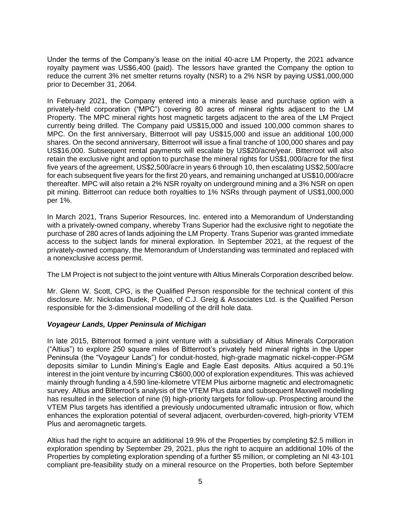Under the terms of the Company's lease on the initial 40-acre LM Property, the 2021 advance royalty payment was US\$6,400 (paid). The lessors have granted the Company the option to reduce the current 3% net smelter returns royalty (NSR) to a 2% NSR by paying US\$1,000,000 prior to December 31, 2064.

In February 2021, the Company entered into a minerals lease and purchase option with a privately-held corporation ("MPC") covering 80 acres of mineral rights adjacent to the LM Property. The MPC mineral rights host magnetic targets adjacent to the area of the LM Project currently being drilled. The Company paid US\$15,000 and issued 100,000 common shares to MPC. On the first anniversary, Bitterroot will pay US\$15,000 and issue an additional 100,000 shares. On the second anniversary, Bitterroot will issue a final tranche of 100,000 shares and pay US\$16,000. Subsequent rental payments will escalate by US\$20/acre/year. Bitterroot will also retain the exclusive right and option to purchase the mineral rights for US\$1,000/acre for the first five years of the agreement, US\$2,500/acre in years 6 through 10, then escalating US\$2,500/acre for each subsequent five years for the first 20 years, and remaining unchanged at US\$10,000/acre thereafter. MPC will also retain a 2% NSR royalty on underground mining and a 3% NSR on open pit mining. Bitterroot can reduce both royalties to 1% NSRs through payment of US\$1,000,000 per 1%.

In March 2021, Trans Superior Resources, Inc. entered into a Memorandum of Understanding with a privately-owned company, whereby Trans Superior had the exclusive right to negotiate the purchase of 280 acres of lands adjoining the LM Property. Trans Superior was granted immediate access to the subject lands for mineral exploration. In September 2021, at the request of the privately-owned company, the Memorandum of Understanding was terminated and replaced with a nonexclusive access permit.

The LM Project is not subject to the joint venture with Altius Minerals Corporation described below.

Mr. Glenn W. Scott, CPG, is the Qualified Person responsible for the technical content of this disclosure. Mr. Nickolas Dudek, P.Geo, of C.J. Greig & Associates Ltd. is the Qualified Person responsible for the 3-dimensional modelling of the drill hole data.

## *Voyageur Lands, Upper Peninsula of Michigan*

In late 2015, Bitterroot formed a joint venture with a subsidiary of Altius Minerals Corporation ("Altius") to explore 250 square miles of Bitterroot's privately held mineral rights in the Upper Peninsula (the "Voyageur Lands") for conduit-hosted, high-grade magmatic nickel-copper-PGM deposits similar to Lundin Mining's Eagle and Eagle East deposits. Altius acquired a 50.1% interest in the joint venture by incurring C\$600,000 of exploration expenditures. This was achieved mainly through funding a 4,590 line-kilometre VTEM Plus airborne magnetic and electromagnetic survey. Altius and Bitterroot's analysis of the VTEM Plus data and subsequent Maxwell modelling has resulted in the selection of nine (9) high-priority targets for follow-up. Prospecting around the VTEM Plus targets has identified a previously undocumented ultramafic intrusion or flow, which enhances the exploration potential of several adjacent, overburden-covered, high-priority VTEM Plus and aeromagnetic targets.

Altius had the right to acquire an additional 19.9% of the Properties by completing \$2.5 million in exploration spending by September 29, 2021, plus the right to acquire an additional 10% of the Properties by completing exploration spending of a further \$5 million, or completing an NI 43-101 compliant pre-feasibility study on a mineral resource on the Properties, both before September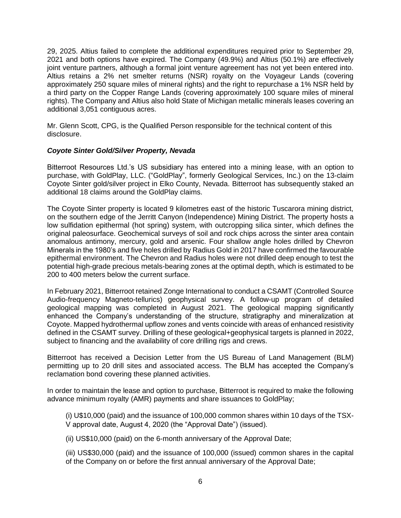29, 2025. Altius failed to complete the additional expenditures required prior to September 29, 2021 and both options have expired. The Company (49.9%) and Altius (50.1%) are effectively joint venture partners, although a formal joint venture agreement has not yet been entered into. Altius retains a 2% net smelter returns (NSR) royalty on the Voyageur Lands (covering approximately 250 square miles of mineral rights) and the right to repurchase a 1% NSR held by a third party on the Copper Range Lands (covering approximately 100 square miles of mineral rights). The Company and Altius also hold State of Michigan metallic minerals leases covering an additional 3,051 contiguous acres.

Mr. Glenn Scott, CPG, is the Qualified Person responsible for the technical content of this disclosure.

## *Coyote Sinter Gold/Silver Property, Nevada*

Bitterroot Resources Ltd.'s US subsidiary has entered into a mining lease, with an option to purchase, with GoldPlay, LLC. ("GoldPlay", formerly Geological Services, Inc.) on the 13-claim Coyote Sinter gold/silver project in Elko County, Nevada. Bitterroot has subsequently staked an additional 18 claims around the GoldPlay claims.

The Coyote Sinter property is located 9 kilometres east of the historic Tuscarora mining district, on the southern edge of the Jerritt Canyon (Independence) Mining District. The property hosts a low sulfidation epithermal (hot spring) system, with outcropping silica sinter, which defines the original paleosurface. Geochemical surveys of soil and rock chips across the sinter area contain anomalous antimony, mercury, gold and arsenic. Four shallow angle holes drilled by Chevron Minerals in the 1980's and five holes drilled by Radius Gold in 2017 have confirmed the favourable epithermal environment. The Chevron and Radius holes were not drilled deep enough to test the potential high-grade precious metals-bearing zones at the optimal depth, which is estimated to be 200 to 400 meters below the current surface.

In February 2021, Bitterroot retained Zonge International to conduct a CSAMT (Controlled Source Audio-frequency Magneto-tellurics) geophysical survey. A follow-up program of detailed geological mapping was completed in August 2021. The geological mapping significantly enhanced the Company's understanding of the structure, stratigraphy and mineralization at Coyote. Mapped hydrothermal upflow zones and vents coincide with areas of enhanced resistivity defined in the CSAMT survey. Drilling of these geological+geophysical targets is planned in 2022, subject to financing and the availability of core drilling rigs and crews.

Bitterroot has received a Decision Letter from the US Bureau of Land Management (BLM) permitting up to 20 drill sites and associated access. The BLM has accepted the Company's reclamation bond covering these planned activities.

In order to maintain the lease and option to purchase, Bitterroot is required to make the following advance minimum royalty (AMR) payments and share issuances to GoldPlay;

(i) U\$10,000 (paid) and the issuance of 100,000 common shares within 10 days of the TSX-V approval date, August 4, 2020 (the "Approval Date") (issued).

(ii) US\$10,000 (paid) on the 6-month anniversary of the Approval Date;

(iii) US\$30,000 (paid) and the issuance of 100,000 (issued) common shares in the capital of the Company on or before the first annual anniversary of the Approval Date;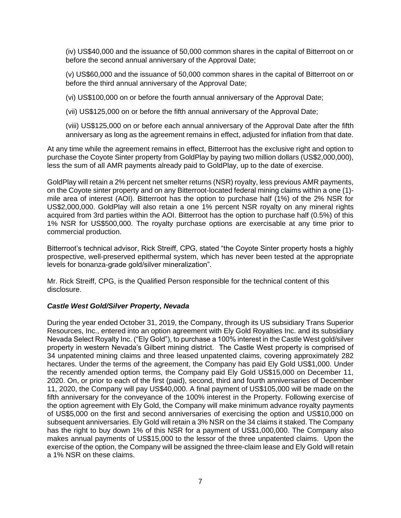(iv) US\$40,000 and the issuance of 50,000 common shares in the capital of Bitterroot on or before the second annual anniversary of the Approval Date;

(v) US\$60,000 and the issuance of 50,000 common shares in the capital of Bitterroot on or before the third annual anniversary of the Approval Date;

(vi) US\$100,000 on or before the fourth annual anniversary of the Approval Date;

(vii) US\$125,000 on or before the fifth annual anniversary of the Approval Date;

(viii) US\$125,000 on or before each annual anniversary of the Approval Date after the fifth anniversary as long as the agreement remains in effect, adjusted for inflation from that date.

At any time while the agreement remains in effect, Bitterroot has the exclusive right and option to purchase the Coyote Sinter property from GoldPlay by paying two million dollars (US\$2,000,000), less the sum of all AMR payments already paid to GoldPlay, up to the date of exercise.

GoldPlay will retain a 2% percent net smelter returns (NSR) royalty, less previous AMR payments, on the Coyote sinter property and on any Bitterroot-located federal mining claims within a one (1) mile area of interest (AOI). Bitterroot has the option to purchase half (1%) of the 2% NSR for US\$2,000,000. GoldPlay will also retain a one 1% percent NSR royalty on any mineral rights acquired from 3rd parties within the AOI. Bitterroot has the option to purchase half (0.5%) of this 1% NSR for US\$500,000. The royalty purchase options are exercisable at any time prior to commercial production.

Bitterroot's technical advisor, Rick Streiff, CPG, stated "the Coyote Sinter property hosts a highly prospective, well-preserved epithermal system, which has never been tested at the appropriate levels for bonanza-grade gold/silver mineralization".

Mr. Rick Streiff, CPG, is the Qualified Person responsible for the technical content of this disclosure.

## *Castle West Gold/Silver Property, Nevada*

During the year ended October 31, 2019, the Company, through its US subsidiary Trans Superior Resources, Inc., entered into an option agreement with Ely Gold Royalties Inc. and its subsidiary Nevada Select Royalty Inc. ("Ely Gold"), to purchase a 100% interest in the Castle West gold/silver property in western Nevada's Gilbert mining district. The Castle West property is comprised of 34 unpatented mining claims and three leased unpatented claims, covering approximately 282 hectares. Under the terms of the agreement, the Company has paid Ely Gold US\$1,000. Under the recently amended option terms, the Company paid Ely Gold US\$15,000 on December 11, 2020. On, or prior to each of the first (paid), second, third and fourth anniversaries of December 11, 2020, the Company will pay US\$40,000. A final payment of US\$105,000 will be made on the fifth anniversary for the conveyance of the 100% interest in the Property. Following exercise of the option agreement with Ely Gold, the Company will make minimum advance royalty payments of US\$5,000 on the first and second anniversaries of exercising the option and US\$10,000 on subsequent anniversaries. Ely Gold will retain a 3% NSR on the 34 claims it staked. The Company has the right to buy down 1% of this NSR for a payment of US\$1,000,000. The Company also makes annual payments of US\$15,000 to the lessor of the three unpatented claims. Upon the exercise of the option, the Company will be assigned the three-claim lease and Ely Gold will retain a 1% NSR on these claims.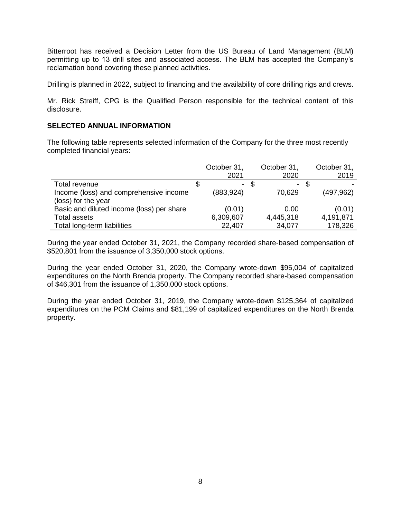Bitterroot has received a Decision Letter from the US Bureau of Land Management (BLM) permitting up to 13 drill sites and associated access. The BLM has accepted the Company's reclamation bond covering these planned activities.

Drilling is planned in 2022, subject to financing and the availability of core drilling rigs and crews.

Mr. Rick Streiff, CPG is the Qualified Person responsible for the technical content of this disclosure.

### **SELECTED ANNUAL INFORMATION**

The following table represents selected information of the Company for the three most recently completed financial years:

|                                           | October 31,<br>2021 |     | October 31,<br>2020 |   | October 31,<br>2019 |
|-------------------------------------------|---------------------|-----|---------------------|---|---------------------|
| Total revenue                             | $\sim$              | \$. | -                   | S |                     |
| Income (loss) and comprehensive income    | (883, 924)          |     | 70,629              |   | (497,962)           |
| (loss) for the year                       |                     |     |                     |   |                     |
| Basic and diluted income (loss) per share | (0.01)              |     | 0.00                |   | (0.01)              |
| <b>Total assets</b>                       | 6,309,607           |     | 4,445,318           |   | 4,191,871           |
| Total long-term liabilities               | 22,407              |     | 34,077              |   | 178,326             |

During the year ended October 31, 2021, the Company recorded share-based compensation of \$520,801 from the issuance of 3,350,000 stock options.

During the year ended October 31, 2020, the Company wrote-down \$95,004 of capitalized expenditures on the North Brenda property. The Company recorded share-based compensation of \$46,301 from the issuance of 1,350,000 stock options.

During the year ended October 31, 2019, the Company wrote-down \$125,364 of capitalized expenditures on the PCM Claims and \$81,199 of capitalized expenditures on the North Brenda property.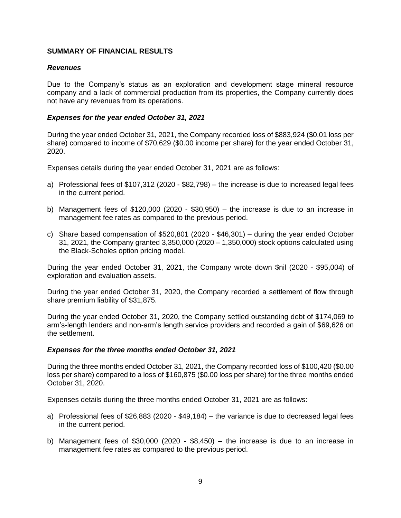## **SUMMARY OF FINANCIAL RESULTS**

#### *Revenues*

Due to the Company's status as an exploration and development stage mineral resource company and a lack of commercial production from its properties, the Company currently does not have any revenues from its operations.

#### *Expenses for the year ended October 31, 2021*

During the year ended October 31, 2021, the Company recorded loss of \$883,924 (\$0.01 loss per share) compared to income of \$70,629 (\$0.00 income per share) for the year ended October 31, 2020.

Expenses details during the year ended October 31, 2021 are as follows:

- a) Professional fees of \$107,312 (2020 \$82,798) the increase is due to increased legal fees in the current period.
- b) Management fees of \$120,000 (2020 \$30,950) the increase is due to an increase in management fee rates as compared to the previous period.
- c) Share based compensation of \$520,801 (2020 \$46,301) during the year ended October 31, 2021, the Company granted 3,350,000 (2020 – 1,350,000) stock options calculated using the Black-Scholes option pricing model.

During the year ended October 31, 2021, the Company wrote down \$nil (2020 - \$95,004) of exploration and evaluation assets.

During the year ended October 31, 2020, the Company recorded a settlement of flow through share premium liability of \$31,875.

During the year ended October 31, 2020, the Company settled outstanding debt of \$174,069 to arm's-length lenders and non-arm's length service providers and recorded a gain of \$69,626 on the settlement.

#### *Expenses for the three months ended October 31, 2021*

During the three months ended October 31, 2021, the Company recorded loss of \$100,420 (\$0.00 loss per share) compared to a loss of \$160,875 (\$0.00 loss per share) for the three months ended October 31, 2020.

Expenses details during the three months ended October 31, 2021 are as follows:

- a) Professional fees of \$26,883 (2020 \$49,184) the variance is due to decreased legal fees in the current period.
- b) Management fees of  $$30,000$  (2020  $$8,450$ ) the increase is due to an increase in management fee rates as compared to the previous period.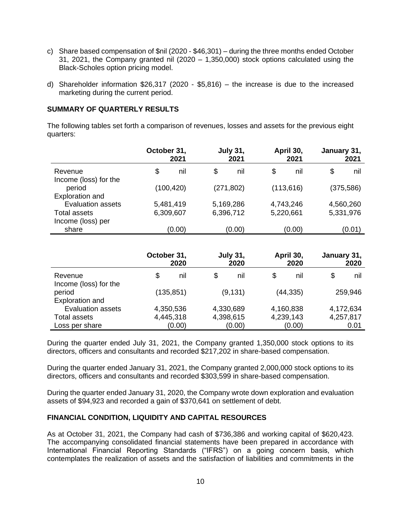- c) Share based compensation of \$nil (2020 \$46,301) during the three months ended October 31, 2021, the Company granted nil (2020 – 1,350,000) stock options calculated using the Black-Scholes option pricing model.
- d) Shareholder information \$26,317 (2020 \$5,816) the increase is due to the increased marketing during the current period.

## **SUMMARY OF QUARTERLY RESULTS**

The following tables set forth a comparison of revenues, losses and assets for the previous eight quarters:

|                                                    | October 31,<br>2021 |        | <b>July 31,</b><br>2021 |        | April 30,<br>2021 |        | January 31,<br>2021 |           |
|----------------------------------------------------|---------------------|--------|-------------------------|--------|-------------------|--------|---------------------|-----------|
| Revenue<br>Income (loss) for the                   | \$                  | nil    | \$                      | nil    | \$                | nil    | \$                  | nil       |
| period                                             | (100, 420)          |        | (271, 802)              |        | (113, 616)        |        | (375, 586)          |           |
| <b>Exploration and</b><br><b>Evaluation assets</b> | 5,481,419           |        | 5,169,286               |        | 4,743,246         |        |                     | 4,560,260 |
| <b>Total assets</b>                                | 6,309,607           |        | 6,396,712               |        | 5,220,661         |        | 5,331,976           |           |
| Income (loss) per                                  |                     |        |                         |        |                   |        |                     |           |
| share                                              |                     | (0.00) |                         | (0.00) |                   | (0.00) |                     | (0.01)    |

|                                  | October 31, | 2020 |           | <b>July 31,</b><br>2020 |           | April 30,<br>2020 | January 31, | 2020 |
|----------------------------------|-------------|------|-----------|-------------------------|-----------|-------------------|-------------|------|
| Revenue<br>Income (loss) for the | \$          | nil  | S         | nil                     | S         | nil               | S           | nil  |
| period<br><b>Exploration and</b> | (135, 851)  |      | (9, 131)  |                         | (44, 335) |                   | 259,946     |      |
| <b>Evaluation assets</b>         | 4,350,536   |      | 4,330,689 |                         | 4,160,838 |                   | 4,172,634   |      |
| <b>Total assets</b>              | 4,445,318   |      | 4,398,615 |                         | 4,239,143 |                   | 4,257,817   |      |
| Loss per share                   | (0.00)      |      | (0.00)    |                         | (0.00)    |                   | 0.01        |      |

During the quarter ended July 31, 2021, the Company granted 1,350,000 stock options to its directors, officers and consultants and recorded \$217,202 in share-based compensation.

During the quarter ended January 31, 2021, the Company granted 2,000,000 stock options to its directors, officers and consultants and recorded \$303,599 in share-based compensation.

During the quarter ended January 31, 2020, the Company wrote down exploration and evaluation assets of \$94,923 and recorded a gain of \$370,641 on settlement of debt.

#### **FINANCIAL CONDITION, LIQUIDITY AND CAPITAL RESOURCES**

As at October 31, 2021, the Company had cash of \$736,386 and working capital of \$620,423. The accompanying consolidated financial statements have been prepared in accordance with International Financial Reporting Standards ("IFRS") on a going concern basis, which contemplates the realization of assets and the satisfaction of liabilities and commitments in the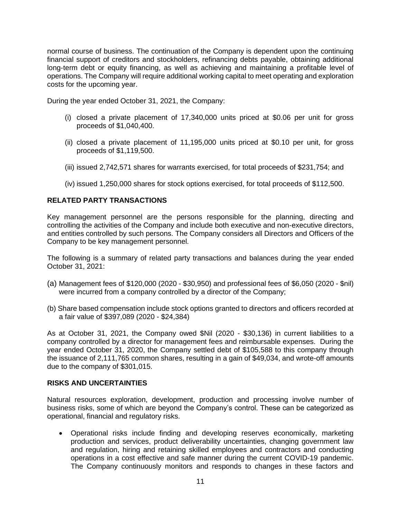normal course of business. The continuation of the Company is dependent upon the continuing financial support of creditors and stockholders, refinancing debts payable, obtaining additional long-term debt or equity financing, as well as achieving and maintaining a profitable level of operations. The Company will require additional working capital to meet operating and exploration costs for the upcoming year.

During the year ended October 31, 2021, the Company:

- (i) closed a private placement of 17,340,000 units priced at \$0.06 per unit for gross proceeds of \$1,040,400.
- (ii) closed a private placement of 11,195,000 units priced at \$0.10 per unit, for gross proceeds of \$1,119,500.
- (iii) issued 2,742,571 shares for warrants exercised, for total proceeds of \$231,754; and
- (iv) issued 1,250,000 shares for stock options exercised, for total proceeds of \$112,500.

## **RELATED PARTY TRANSACTIONS**

Key management personnel are the persons responsible for the planning, directing and controlling the activities of the Company and include both executive and non-executive directors, and entities controlled by such persons. The Company considers all Directors and Officers of the Company to be key management personnel.

The following is a summary of related party transactions and balances during the year ended October 31, 2021:

- (a) Management fees of \$120,000 (2020 \$30,950) and professional fees of \$6,050 (2020 \$nil) were incurred from a company controlled by a director of the Company;
- (b) Share based compensation include stock options granted to directors and officers recorded at a fair value of \$397,089 (2020 - \$24,384)

As at October 31, 2021, the Company owed \$Nil (2020 - \$30,136) in current liabilities to a company controlled by a director for management fees and reimbursable expenses. During the year ended October 31, 2020, the Company settled debt of \$105,588 to this company through the issuance of 2,111,765 common shares, resulting in a gain of \$49,034, and wrote-off amounts due to the company of \$301,015.

#### **RISKS AND UNCERTAINTIES**

Natural resources exploration, development, production and processing involve number of business risks, some of which are beyond the Company's control. These can be categorized as operational, financial and regulatory risks.

• Operational risks include finding and developing reserves economically, marketing production and services, product deliverability uncertainties, changing government law and regulation, hiring and retaining skilled employees and contractors and conducting operations in a cost effective and safe manner during the current COVID-19 pandemic. The Company continuously monitors and responds to changes in these factors and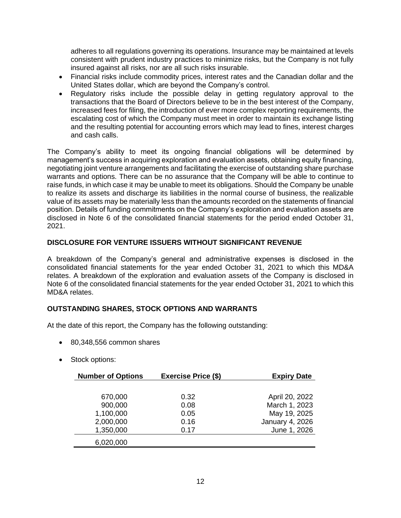adheres to all regulations governing its operations. Insurance may be maintained at levels consistent with prudent industry practices to minimize risks, but the Company is not fully insured against all risks, nor are all such risks insurable.

- Financial risks include commodity prices, interest rates and the Canadian dollar and the United States dollar, which are beyond the Company's control.
- Regulatory risks include the possible delay in getting regulatory approval to the transactions that the Board of Directors believe to be in the best interest of the Company, increased fees for filing, the introduction of ever more complex reporting requirements, the escalating cost of which the Company must meet in order to maintain its exchange listing and the resulting potential for accounting errors which may lead to fines, interest charges and cash calls.

The Company's ability to meet its ongoing financial obligations will be determined by management's success in acquiring exploration and evaluation assets, obtaining equity financing, negotiating joint venture arrangements and facilitating the exercise of outstanding share purchase warrants and options. There can be no assurance that the Company will be able to continue to raise funds, in which case it may be unable to meet its obligations. Should the Company be unable to realize its assets and discharge its liabilities in the normal course of business, the realizable value of its assets may be materially less than the amounts recorded on the statements of financial position. Details of funding commitments on the Company's exploration and evaluation assets are disclosed in Note 6 of the consolidated financial statements for the period ended October 31, 2021.

## **DISCLOSURE FOR VENTURE ISSUERS WITHOUT SIGNIFICANT REVENUE**

A breakdown of the Company's general and administrative expenses is disclosed in the consolidated financial statements for the year ended October 31, 2021 to which this MD&A relates. A breakdown of the exploration and evaluation assets of the Company is disclosed in Note 6 of the consolidated financial statements for the year ended October 31, 2021 to which this MD&A relates.

## **OUTSTANDING SHARES, STOCK OPTIONS AND WARRANTS**

At the date of this report, the Company has the following outstanding:

- 80,348,556 common shares
- Stock options:

| <b>Number of Options</b> | <b>Exercise Price (\$)</b> | <b>Expiry Date</b> |
|--------------------------|----------------------------|--------------------|
|                          |                            |                    |
| 670,000                  | 0.32                       | April 20, 2022     |
| 900,000                  | 0.08                       | March 1, 2023      |
| 1,100,000                | 0.05                       | May 19, 2025       |
| 2,000,000                | 0.16                       | January 4, 2026    |
| 1,350,000                | 0.17                       | June 1, 2026       |
| 6,020,000                |                            |                    |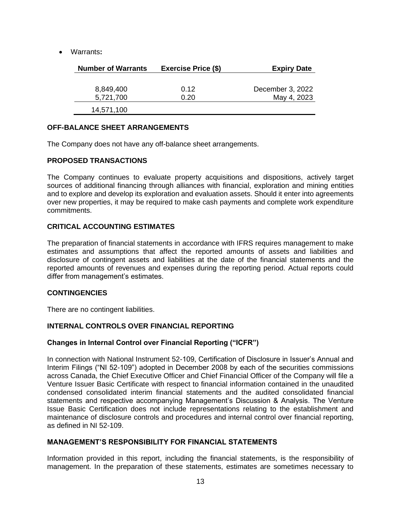• Warrants**:**

| <b>Number of Warrants</b> | <b>Exercise Price (\$)</b> | <b>Expiry Date</b> |
|---------------------------|----------------------------|--------------------|
|                           |                            |                    |
| 8,849,400                 | 0.12                       | December 3, 2022   |
| 5,721,700                 | 0.20                       | May 4, 2023        |
| 14,571,100                |                            |                    |

#### **OFF-BALANCE SHEET ARRANGEMENTS**

The Company does not have any off-balance sheet arrangements.

#### **PROPOSED TRANSACTIONS**

The Company continues to evaluate property acquisitions and dispositions, actively target sources of additional financing through alliances with financial, exploration and mining entities and to explore and develop its exploration and evaluation assets. Should it enter into agreements over new properties, it may be required to make cash payments and complete work expenditure commitments.

## **CRITICAL ACCOUNTING ESTIMATES**

The preparation of financial statements in accordance with IFRS requires management to make estimates and assumptions that affect the reported amounts of assets and liabilities and disclosure of contingent assets and liabilities at the date of the financial statements and the reported amounts of revenues and expenses during the reporting period. Actual reports could differ from management's estimates.

#### **CONTINGENCIES**

There are no contingent liabilities.

## **INTERNAL CONTROLS OVER FINANCIAL REPORTING**

#### **Changes in Internal Control over Financial Reporting ("ICFR")**

In connection with National Instrument 52-109, Certification of Disclosure in Issuer's Annual and Interim Filings ("NI 52-109") adopted in December 2008 by each of the securities commissions across Canada, the Chief Executive Officer and Chief Financial Officer of the Company will file a Venture Issuer Basic Certificate with respect to financial information contained in the unaudited condensed consolidated interim financial statements and the audited consolidated financial statements and respective accompanying Management's Discussion & Analysis. The Venture Issue Basic Certification does not include representations relating to the establishment and maintenance of disclosure controls and procedures and internal control over financial reporting, as defined in NI 52-109.

#### **MANAGEMENT'S RESPONSIBILITY FOR FINANCIAL STATEMENTS**

Information provided in this report, including the financial statements, is the responsibility of management. In the preparation of these statements, estimates are sometimes necessary to